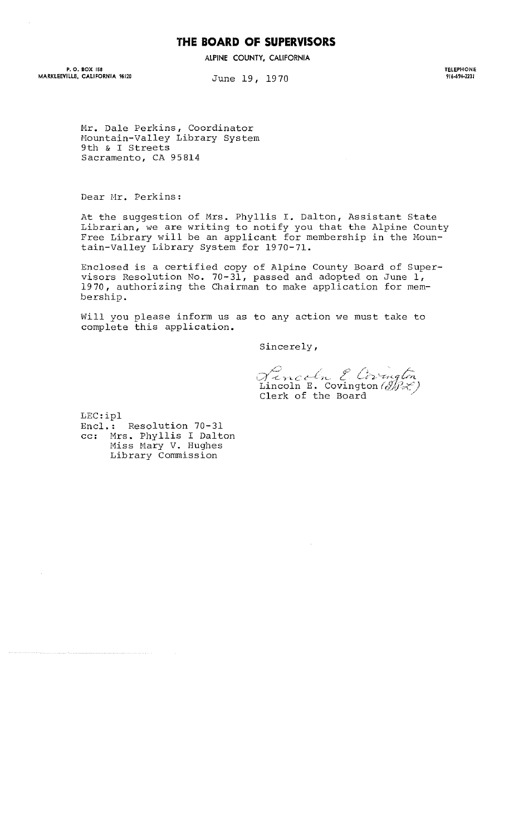## **THE BOARD OF SUPERVISORS**

**ALPINE COUNTY, CALIFORNIA** 

**P. O. BOX 158 MARKLEEVILLE, CALIFORNIA 96120** 

June 19, 1970

**TELEPHONE 916·694-2231** 

Mr. Dale Perkins, Coordinator Hountain-Valley Library System 9th & I Streets Sacramento, CA 95814

Dear Nr. Perkins:

At the suggestion of Mrs. Phyllis **I.** Dalton, Assistant State Librarian, we are writing to notify you that the Alpine County Free Library will be an applicant for membership in the Mountain-Valley Library System for 1970-71.

Enclosed is a certified copy of Alpine County Board of Supervisors Resolution No. 70-31, passed and adopted on June I, 1970, authorizing the Chairman to make application for membership.

Will you please inform us as to any action we must take to complete this application.

Sincerely,

Lincoln E. Corrugton Clerk of the Board

LEC:ipl

Encl.: Resolution 70-31 cc: Mrs. Phyllis I Dalton Miss Mary V. Hughes Library Commission